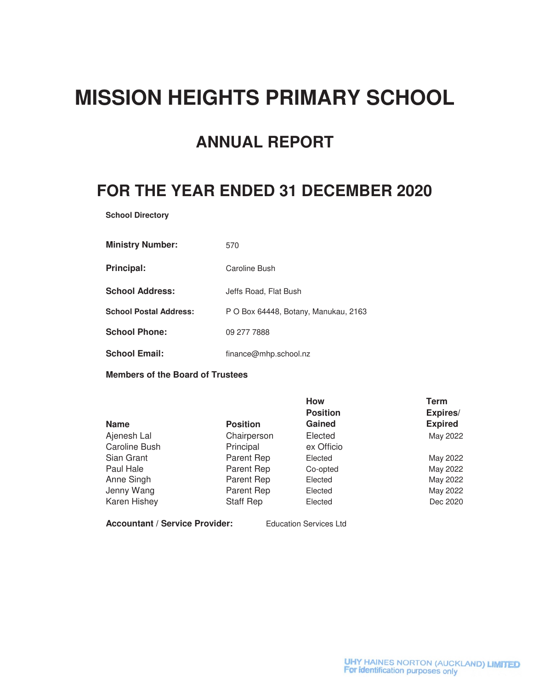# **MISSION HEIGHTS PRIMARY SCHOOL**

# **ANNUAL REPORT**

# **FOR THE YEAR ENDED 31 DECEMBER 2020**

**School Directory**

| <b>Ministry Number:</b>       | 570                                  |
|-------------------------------|--------------------------------------|
| Principal:                    | Caroline Bush                        |
| <b>School Address:</b>        | Jeffs Road, Flat Bush                |
| <b>School Postal Address:</b> | P O Box 64448, Botany, Manukau, 2163 |
| <b>School Phone:</b>          | 09 277 7888                          |
| <b>School Email:</b>          | finance@mhp.school.nz                |

**Members of the Board of Trustees**

|               |                 | <b>How</b>      | Term           |
|---------------|-----------------|-----------------|----------------|
|               |                 | <b>Position</b> | Expires/       |
| <b>Name</b>   | <b>Position</b> | Gained          | <b>Expired</b> |
| Ajenesh Lal   | Chairperson     | Elected         | May 2022       |
| Caroline Bush | Principal       | ex Officio      |                |
| Sian Grant    | Parent Rep      | Elected         | May 2022       |
| Paul Hale     | Parent Rep      | Co-opted        | May 2022       |
| Anne Singh    | Parent Rep      | Elected         | May 2022       |
| Jenny Wang    | Parent Rep      | Elected         | May 2022       |
| Karen Hishey  | Staff Rep       | Elected         | Dec 2020       |

**Accountant / Service Provider:** Education Services Ltd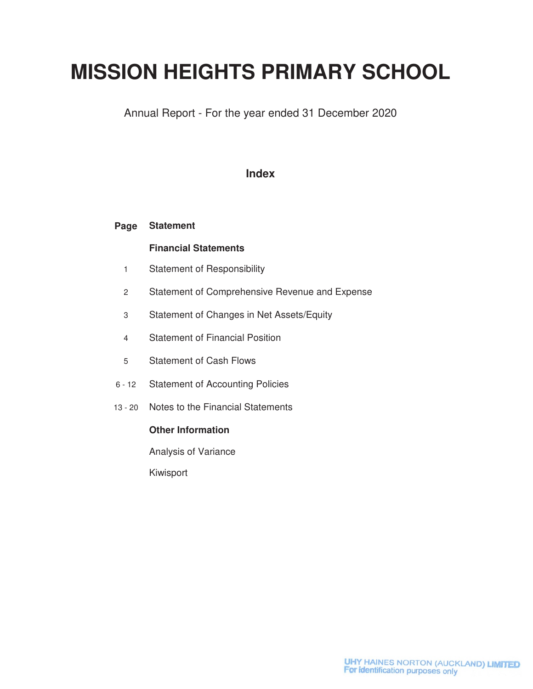# **MISSION HEIGHTS PRIMARY SCHOOL**

Annual Report - For the year ended 31 December 2020

### **Index**

#### **Page Statement**

### **Financial Statements**

- 1 Statement of Responsibility
- 2 Statement of Comprehensive Revenue and Expense
- 3 Statement of Changes in Net Assets/Equity
- 4 Statement of Financial Position
- 5 Statement of Cash Flows
- 6 12 Statement of Accounting Policies
- 13 20 Notes to the Financial Statements

### **Other Information**

Analysis of Variance

Kiwisport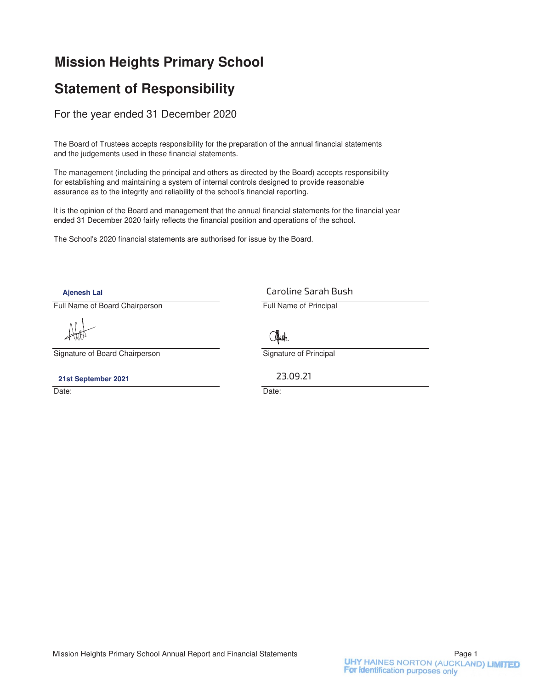## **Mission Heights Primary School**

## **Statement of Responsibility**

For the year ended 31 December 2020

The Board of Trustees accepts responsibility for the preparation of the annual financial statements and the judgements used in these financial statements.

The management (including the principal and others as directed by the Board) accepts responsibility for establishing and maintaining a system of internal controls designed to provide reasonable assurance as to the integrity and reliability of the school's financial reporting.

It is the opinion of the Board and management that the annual financial statements for the financial year ended 31 December 2020 fairly reflects the financial position and operations of the school.

The School's 2020 financial statements are authorised for issue by the Board.

**Ajenesh Lal**

Full Name of Board Chairperson **Full Name of Principal** 

Signature of Board Chairperson Signature of Principal

**21st September 2021**

Date: **Date: Date: Date: Date: Date: Date: Date: Date: Date: Date: Date: Date: Date: Date: Date: Date: Date: Date: Date: Date: Date: Date: Date: Date: Date: Date: Date:**

Caroline Sarah Bush



23.09.21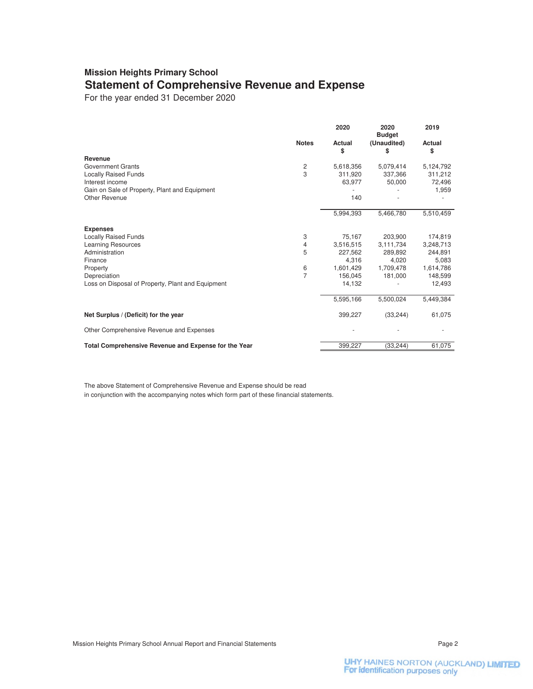### **Mission Heights Primary School Statement of Comprehensive Revenue and Expense**

For the year ended 31 December 2020

|                                                      |                | 2020         | 2020<br><b>Budget</b> | 2019         |
|------------------------------------------------------|----------------|--------------|-----------------------|--------------|
|                                                      | <b>Notes</b>   | Actual<br>\$ | (Unaudited)<br>S      | Actual<br>\$ |
| Revenue                                              |                |              |                       |              |
| Government Grants                                    | 2              | 5,618,356    | 5,079,414             | 5,124,792    |
| <b>Locally Raised Funds</b>                          | 3              | 311,920      | 337,366               | 311,212      |
| Interest income                                      |                | 63,977       | 50,000                | 72,496       |
| Gain on Sale of Property, Plant and Equipment        |                |              |                       | 1,959        |
| Other Revenue                                        |                | 140          |                       |              |
|                                                      |                | 5,994,393    | 5,466,780             | 5,510,459    |
| <b>Expenses</b>                                      |                |              |                       |              |
| <b>Locally Raised Funds</b>                          | 3              | 75.167       | 203.900               | 174,819      |
| <b>Learning Resources</b>                            | 4              | 3,516,515    | 3,111,734             | 3,248,713    |
| Administration                                       | 5              | 227,562      | 289,892               | 244,891      |
| Finance                                              |                | 4,316        | 4.020                 | 5,083        |
| Property                                             | 6              | 1,601,429    | 1,709,478             | 1,614,786    |
| Depreciation                                         | $\overline{7}$ | 156,045      | 181,000               | 148,599      |
| Loss on Disposal of Property, Plant and Equipment    |                | 14,132       |                       | 12,493       |
|                                                      |                | 5,595,166    | 5,500,024             | 5,449,384    |
| Net Surplus / (Deficit) for the year                 |                | 399,227      | (33, 244)             | 61,075       |
| Other Comprehensive Revenue and Expenses             |                |              |                       |              |
| Total Comprehensive Revenue and Expense for the Year |                | 399,227      | (33, 244)             | 61,075       |

The above Statement of Comprehensive Revenue and Expense should be read in conjunction with the accompanying notes which form part of these financial statements.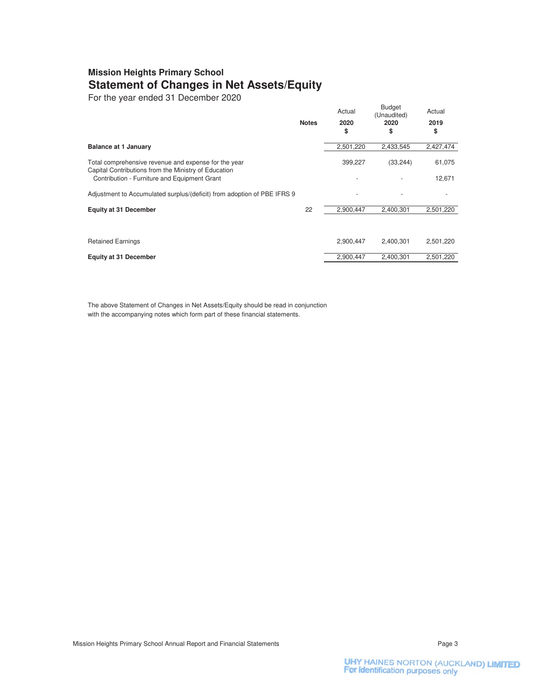### **Mission Heights Primary School Statement of Changes in Net Assets/Equity**

For the year ended 31 December 2020

|                                                                                                              | <b>Notes</b> | Actual<br>2020 | <b>Budget</b><br>(Unaudited)<br>2020 | Actual<br>2019 |
|--------------------------------------------------------------------------------------------------------------|--------------|----------------|--------------------------------------|----------------|
|                                                                                                              |              | \$             | S                                    | \$             |
| <b>Balance at 1 January</b>                                                                                  |              | 2,501,220      | 2,433,545                            | 2,427,474      |
| Total comprehensive revenue and expense for the year<br>Capital Contributions from the Ministry of Education |              | 399,227        | (33, 244)                            | 61,075         |
| Contribution - Furniture and Equipment Grant                                                                 |              |                |                                      | 12,671         |
| Adjustment to Accumulated surplus/(deficit) from adoption of PBE IFRS 9                                      |              |                |                                      |                |
| <b>Equity at 31 December</b>                                                                                 | 22           | 2,900,447      | 2,400,301                            | 2,501,220      |
|                                                                                                              |              |                |                                      |                |
| <b>Retained Earnings</b>                                                                                     |              | 2,900,447      | 2.400.301                            | 2,501,220      |
| <b>Equity at 31 December</b>                                                                                 |              | 2,900,447      | 2,400,301                            | 2,501,220      |

The above Statement of Changes in Net Assets/Equity should be read in conjunction with the accompanying notes which form part of these financial statements.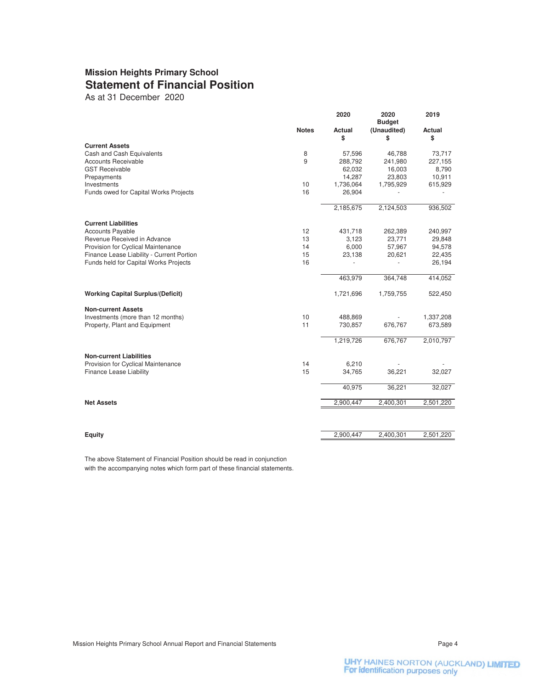### **Mission Heights Primary School Statement of Financial Position**

As at 31 December 2020

|                                           |              | 2020         | 2020<br><b>Budget</b> | 2019         |
|-------------------------------------------|--------------|--------------|-----------------------|--------------|
|                                           | <b>Notes</b> | Actual<br>\$ | (Unaudited)<br>\$     | Actual<br>\$ |
| <b>Current Assets</b>                     |              |              |                       |              |
| Cash and Cash Equivalents                 | 8            | 57,596       | 46,788                | 73,717       |
| <b>Accounts Receivable</b>                | 9            | 288,792      | 241,980               | 227,155      |
| <b>GST Receivable</b>                     |              | 62,032       | 16,003                | 8,790        |
| Prepayments                               | 10           | 14,287       | 23,803                | 10,911       |
| Investments                               | 16           | 1,736,064    | 1,795,929             | 615,929      |
| Funds owed for Capital Works Projects     |              | 26,904       |                       |              |
|                                           |              | 2,185,675    | 2,124,503             | 936,502      |
| <b>Current Liabilities</b>                |              |              |                       |              |
| <b>Accounts Payable</b>                   | 12           | 431,718      | 262,389               | 240,997      |
| Revenue Received in Advance               | 13           | 3,123        | 23,771                | 29,848       |
| Provision for Cyclical Maintenance        | 14           | 6,000        | 57,967                | 94,578       |
| Finance Lease Liability - Current Portion | 15           | 23,138       | 20,621                | 22,435       |
| Funds held for Capital Works Projects     | 16           |              |                       | 26,194       |
|                                           |              | 463,979      | 364,748               | 414,052      |
| <b>Working Capital Surplus/(Deficit)</b>  |              | 1,721,696    | 1,759,755             | 522,450      |
| <b>Non-current Assets</b>                 |              |              |                       |              |
| Investments (more than 12 months)         | 10           | 488,869      |                       | 1,337,208    |
| Property, Plant and Equipment             | 11           | 730,857      | 676,767               | 673,589      |
|                                           |              | 1,219,726    | 676,767               | 2,010,797    |
| <b>Non-current Liabilities</b>            |              |              |                       |              |
| Provision for Cyclical Maintenance        | 14           | 6,210        |                       |              |
| Finance Lease Liability                   | 15           | 34,765       | 36,221                | 32,027       |
|                                           |              | 40,975       | 36,221                | 32,027       |
| <b>Net Assets</b>                         |              | 2,900,447    | 2,400,301             | 2,501,220    |
|                                           |              |              |                       |              |
| Equity                                    |              | 2,900,447    | 2,400,301             | 2,501,220    |
|                                           |              |              |                       |              |

The above Statement of Financial Position should be read in conjunction with the accompanying notes which form part of these financial statements.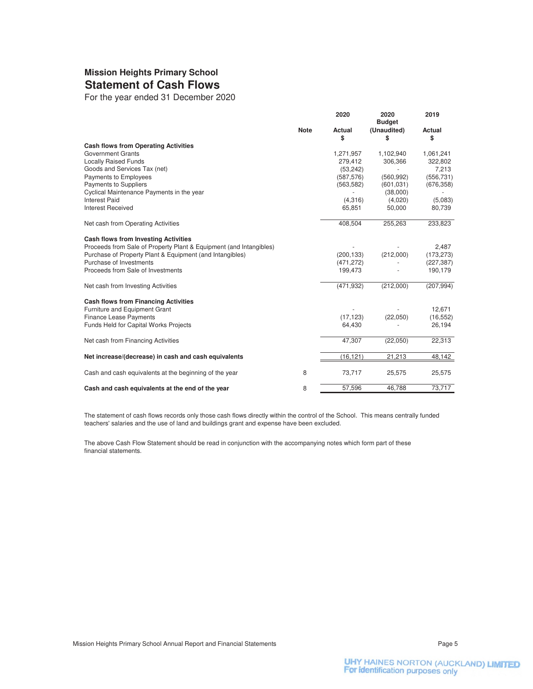### **Mission Heights Primary School Statement of Cash Flows**

For the year ended 31 December 2020

|                                                                    | 2020         | 2020<br><b>Budget</b> | 2019         |
|--------------------------------------------------------------------|--------------|-----------------------|--------------|
| <b>Note</b>                                                        | Actual<br>\$ | (Unaudited)<br>\$     | Actual<br>\$ |
| <b>Cash flows from Operating Activities</b>                        |              |                       |              |
| <b>Government Grants</b>                                           | 1,271,957    | 1,102,940             | 1,061,241    |
| <b>Locally Raised Funds</b>                                        | 279,412      | 306,366               | 322,802      |
| Goods and Services Tax (net)                                       | (53, 242)    |                       | 7,213        |
| Payments to Employees                                              | (587, 576)   | (560, 992)            | (556, 731)   |
| <b>Payments to Suppliers</b>                                       | (563, 582)   | (601, 031)            | (676, 358)   |
| Cyclical Maintenance Payments in the year                          |              | (38,000)              |              |
| <b>Interest Paid</b>                                               | (4,316)      | (4,020)               | (5,083)      |
| <b>Interest Received</b>                                           | 65,851       | 50,000                | 80,739       |
| Net cash from Operating Activities                                 | 408,504      | 255,263               | 233,823      |
| <b>Cash flows from Investing Activities</b>                        |              |                       |              |
| Proceeds from Sale of Property Plant & Equipment (and Intangibles) |              |                       | 2.487        |
| Purchase of Property Plant & Equipment (and Intangibles)           | (200, 133)   | (212,000)             | (173, 273)   |
| Purchase of Investments                                            | (471, 272)   |                       | (227, 387)   |
| Proceeds from Sale of Investments                                  | 199,473      |                       | 190,179      |
| Net cash from Investing Activities                                 | (471, 932)   | (212,000)             | (207, 994)   |
| <b>Cash flows from Financing Activities</b>                        |              |                       |              |
| Furniture and Equipment Grant                                      |              |                       | 12,671       |
| <b>Finance Lease Payments</b>                                      | (17, 123)    | (22,050)              | (16, 552)    |
| Funds Held for Capital Works Projects                              | 64,430       |                       | 26,194       |
| Net cash from Financing Activities                                 | 47,307       | (22,050)              | 22,313       |
| Net increase/(decrease) in cash and cash equivalents               | (16, 121)    | 21,213                | 48,142       |
| 8<br>Cash and cash equivalents at the beginning of the year        | 73,717       | 25,575                | 25,575       |
| 8<br>Cash and cash equivalents at the end of the year              | 57,596       | 46.788                | 73,717       |

The statement of cash flows records only those cash flows directly within the control of the School. This means centrally funded teachers' salaries and the use of land and buildings grant and expense have been excluded.

The above Cash Flow Statement should be read in conjunction with the accompanying notes which form part of these financial statements.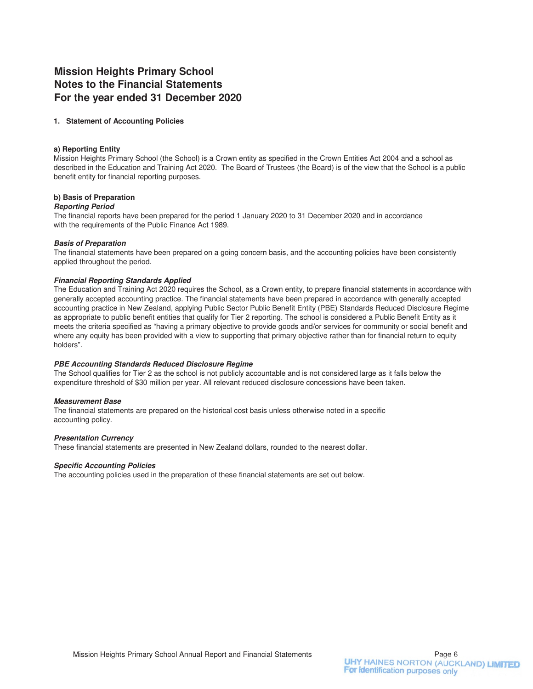### **Mission Heights Primary School Notes to the Financial Statements For the year ended 31 December 2020**

#### **1. Statement of Accounting Policies**

#### **a) Reporting Entity**

Mission Heights Primary School (the School) is a Crown entity as specified in the Crown Entities Act 2004 and a school as described in the Education and Training Act 2020. The Board of Trustees (the Board) is of the view that the School is a public benefit entity for financial reporting purposes.

#### **b) Basis of Preparation**

#### **Reporting Period**

The financial reports have been prepared for the period 1 January 2020 to 31 December 2020 and in accordance with the requirements of the Public Finance Act 1989.

#### **Basis of Preparation**

The financial statements have been prepared on a going concern basis, and the accounting policies have been consistently applied throughout the period.

#### **Financial Reporting Standards Applied**

The Education and Training Act 2020 requires the School, as a Crown entity, to prepare financial statements in accordance with generally accepted accounting practice. The financial statements have been prepared in accordance with generally accepted accounting practice in New Zealand, applying Public Sector Public Benefit Entity (PBE) Standards Reduced Disclosure Regime as appropriate to public benefit entities that qualify for Tier 2 reporting. The school is considered a Public Benefit Entity as it meets the criteria specified as "having a primary objective to provide goods and/or services for community or social benefit and where any equity has been provided with a view to supporting that primary objective rather than for financial return to equity holders".

#### **PBE Accounting Standards Reduced Disclosure Regime**

The School qualifies for Tier 2 as the school is not publicly accountable and is not considered large as it falls below the expenditure threshold of \$30 million per year. All relevant reduced disclosure concessions have been taken.

#### **Measurement Base**

The financial statements are prepared on the historical cost basis unless otherwise noted in a specific accounting policy.

#### **Presentation Currency**

These financial statements are presented in New Zealand dollars, rounded to the nearest dollar.

#### **Specific Accounting Policies**

The accounting policies used in the preparation of these financial statements are set out below.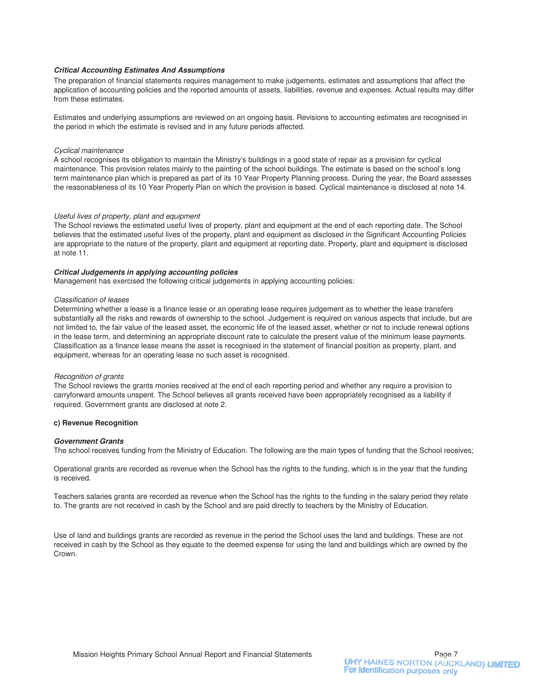#### **Critical Accounting Estimates And Assumptions**

The preparation of financial statements requires management to make judgements, estimates and assumptions that affect the application of accounting policies and the reported amounts of assets, liabilities, revenue and expenses. Actual results may differ from these estimates.

Estimates and underlying assumptions are reviewed on an ongoing basis. Revisions to accounting estimates are recognised in the period in which the estimate is revised and in any future periods affected.

#### Cyclical maintenance

A school recognises its obligation to maintain the Ministry's buildings in a good state of repair as a provision for cyclical maintenance. This provision relates mainly to the painting of the school buildings. The estimate is based on the school's long term maintenance plan which is prepared as part of its 10 Year Property Planning process. During the year, the Board assesses the reasonableness of its 10 Year Property Plan on which the provision is based. Cyclical maintenance is disclosed at note 14.

#### Useful lives of property, plant and equipment

The School reviews the estimated useful lives of property, plant and equipment at the end of each reporting date. The School believes that the estimated useful lives of the property, plant and equipment as disclosed in the Significant Accounting Policies are appropriate to the nature of the property, plant and equipment at reporting date. Property, plant and equipment is disclosed at note 11.

#### **Critical Judgements in applying accounting policies**

Management has exercised the following critical judgements in applying accounting policies:

#### Classification of leases

Determining whether a lease is a finance lease or an operating lease requires judgement as to whether the lease transfers substantially all the risks and rewards of ownership to the school. Judgement is required on various aspects that include, but are not limited to, the fair value of the leased asset, the economic life of the leased asset, whether or not to include renewal options in the lease term, and determining an appropriate discount rate to calculate the present value of the minimum lease payments. Classification as a finance lease means the asset is recognised in the statement of financial position as property, plant, and equipment, whereas for an operating lease no such asset is recognised.

#### Recognition of grants

The School reviews the grants monies received at the end of each reporting period and whether any require a provision to carryforward amounts unspent. The School believes all grants received have been appropriately recognised as a liability if required. Government grants are disclosed at note 2.

#### **c) Revenue Recognition**

#### **Government Grants**

The school receives funding from the Ministry of Education. The following are the main types of funding that the School receives;

Operational grants are recorded as revenue when the School has the rights to the funding, which is in the year that the funding is received.

Teachers salaries grants are recorded as revenue when the School has the rights to the funding in the salary period they relate to. The grants are not received in cash by the School and are paid directly to teachers by the Ministry of Education.

Use of land and buildings grants are recorded as revenue in the period the School uses the land and buildings. These are not received in cash by the School as they equate to the deemed expense for using the land and buildings which are owned by the Crown.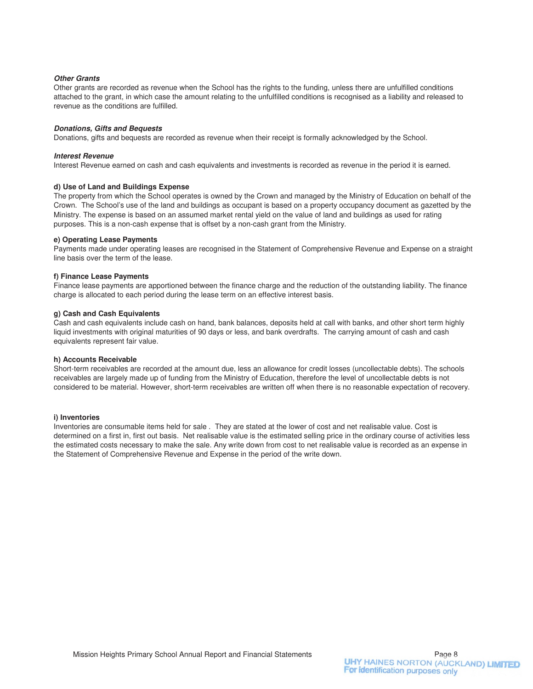#### **Other Grants**

Other grants are recorded as revenue when the School has the rights to the funding, unless there are unfulfilled conditions attached to the grant, in which case the amount relating to the unfulfilled conditions is recognised as a liability and released to revenue as the conditions are fulfilled.

#### **Donations, Gifts and Bequests**

Donations, gifts and bequests are recorded as revenue when their receipt is formally acknowledged by the School.

#### **Interest Revenue**

Interest Revenue earned on cash and cash equivalents and investments is recorded as revenue in the period it is earned.

#### **d) Use of Land and Buildings Expense**

The property from which the School operates is owned by the Crown and managed by the Ministry of Education on behalf of the Crown. The School's use of the land and buildings as occupant is based on a property occupancy document as gazetted by the Ministry. The expense is based on an assumed market rental yield on the value of land and buildings as used for rating purposes. This is a non-cash expense that is offset by a non-cash grant from the Ministry.

#### **e) Operating Lease Payments**

Payments made under operating leases are recognised in the Statement of Comprehensive Revenue and Expense on a straight line basis over the term of the lease.

#### **f) Finance Lease Payments**

Finance lease payments are apportioned between the finance charge and the reduction of the outstanding liability. The finance charge is allocated to each period during the lease term on an effective interest basis.

#### **g) Cash and Cash Equivalents**

Cash and cash equivalents include cash on hand, bank balances, deposits held at call with banks, and other short term highly liquid investments with original maturities of 90 days or less, and bank overdrafts. The carrying amount of cash and cash equivalents represent fair value.

#### **h) Accounts Receivable**

Short-term receivables are recorded at the amount due, less an allowance for credit losses (uncollectable debts). The schools receivables are largely made up of funding from the Ministry of Education, therefore the level of uncollectable debts is not considered to be material. However, short-term receivables are written off when there is no reasonable expectation of recovery.

#### **i) Inventories**

Inventories are consumable items held for sale . They are stated at the lower of cost and net realisable value. Cost is determined on a first in, first out basis. Net realisable value is the estimated selling price in the ordinary course of activities less the estimated costs necessary to make the sale. Any write down from cost to net realisable value is recorded as an expense in the Statement of Comprehensive Revenue and Expense in the period of the write down.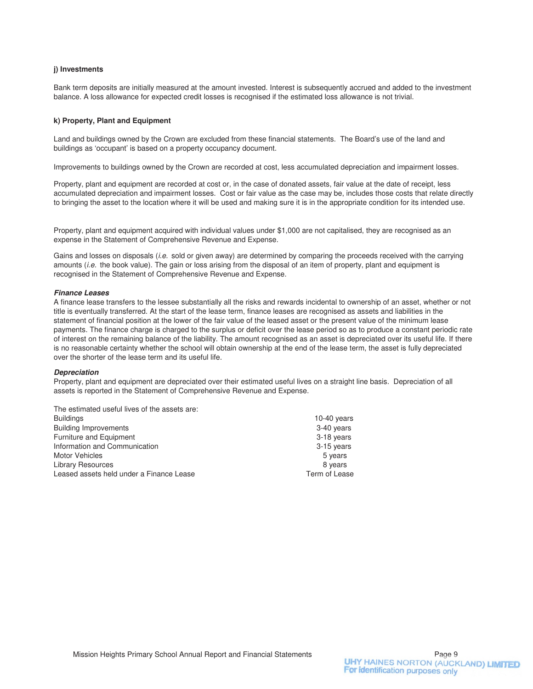#### **j) Investments**

Bank term deposits are initially measured at the amount invested. Interest is subsequently accrued and added to the investment balance. A loss allowance for expected credit losses is recognised if the estimated loss allowance is not trivial.

#### **k) Property, Plant and Equipment**

Land and buildings owned by the Crown are excluded from these financial statements. The Board's use of the land and buildings as 'occupant' is based on a property occupancy document.

Improvements to buildings owned by the Crown are recorded at cost, less accumulated depreciation and impairment losses.

Property, plant and equipment are recorded at cost or, in the case of donated assets, fair value at the date of receipt, less accumulated depreciation and impairment losses. Cost or fair value as the case may be, includes those costs that relate directly to bringing the asset to the location where it will be used and making sure it is in the appropriate condition for its intended use.

Property, plant and equipment acquired with individual values under \$1,000 are not capitalised, they are recognised as an expense in the Statement of Comprehensive Revenue and Expense.

Gains and losses on disposals (i.e. sold or given away) are determined by comparing the proceeds received with the carrying amounts *(i.e.* the book value). The gain or loss arising from the disposal of an item of property, plant and equipment is recognised in the Statement of Comprehensive Revenue and Expense.

#### **Finance Leases**

A finance lease transfers to the lessee substantially all the risks and rewards incidental to ownership of an asset, whether or not title is eventually transferred. At the start of the lease term, finance leases are recognised as assets and liabilities in the statement of financial position at the lower of the fair value of the leased asset or the present value of the minimum lease payments. The finance charge is charged to the surplus or deficit over the lease period so as to produce a constant periodic rate of interest on the remaining balance of the liability. The amount recognised as an asset is depreciated over its useful life. If there is no reasonable certainty whether the school will obtain ownership at the end of the lease term, the asset is fully depreciated over the shorter of the lease term and its useful life.

#### **Depreciation**

Property, plant and equipment are depreciated over their estimated useful lives on a straight line basis. Depreciation of all assets is reported in the Statement of Comprehensive Revenue and Expense.

The estimated useful lives of the assets are:

| <b>Buildings</b>                         | 10-40 $years$ |
|------------------------------------------|---------------|
| <b>Building Improvements</b>             | 3-40 years    |
| Furniture and Equipment                  | 3-18 years    |
| Information and Communication            | 3-15 years    |
| <b>Motor Vehicles</b>                    | 5 years       |
| <b>Library Resources</b>                 | 8 years       |
| Leased assets held under a Finance Lease | Term of Lease |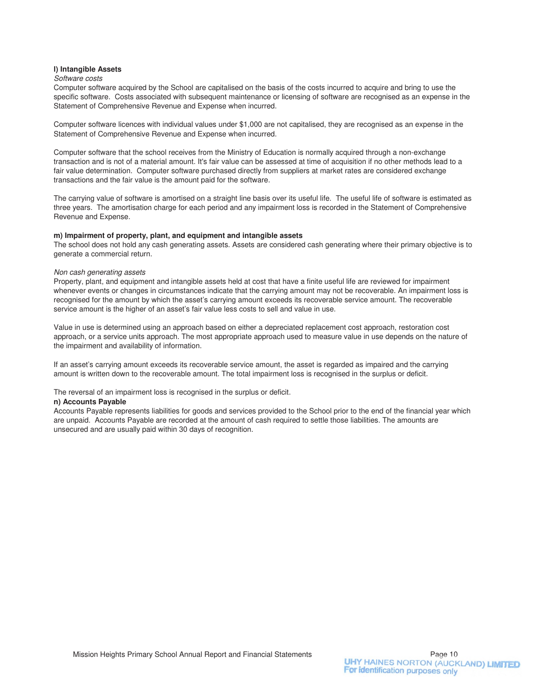#### **l) Intangible Assets**

#### Software costs

Computer software acquired by the School are capitalised on the basis of the costs incurred to acquire and bring to use the specific software. Costs associated with subsequent maintenance or licensing of software are recognised as an expense in the Statement of Comprehensive Revenue and Expense when incurred.

Computer software licences with individual values under \$1,000 are not capitalised, they are recognised as an expense in the Statement of Comprehensive Revenue and Expense when incurred.

Computer software that the school receives from the Ministry of Education is normally acquired through a non-exchange transaction and is not of a material amount. It's fair value can be assessed at time of acquisition if no other methods lead to a fair value determination. Computer software purchased directly from suppliers at market rates are considered exchange transactions and the fair value is the amount paid for the software.

The carrying value of software is amortised on a straight line basis over its useful life. The useful life of software is estimated as three years. The amortisation charge for each period and any impairment loss is recorded in the Statement of Comprehensive Revenue and Expense.

#### **m) Impairment of property, plant, and equipment and intangible assets**

The school does not hold any cash generating assets. Assets are considered cash generating where their primary objective is to generate a commercial return.

#### Non cash generating assets

Property, plant, and equipment and intangible assets held at cost that have a finite useful life are reviewed for impairment whenever events or changes in circumstances indicate that the carrying amount may not be recoverable. An impairment loss is recognised for the amount by which the asset's carrying amount exceeds its recoverable service amount. The recoverable service amount is the higher of an asset's fair value less costs to sell and value in use.

Value in use is determined using an approach based on either a depreciated replacement cost approach, restoration cost approach, or a service units approach. The most appropriate approach used to measure value in use depends on the nature of the impairment and availability of information.

If an asset's carrying amount exceeds its recoverable service amount, the asset is regarded as impaired and the carrying amount is written down to the recoverable amount. The total impairment loss is recognised in the surplus or deficit.

The reversal of an impairment loss is recognised in the surplus or deficit.

#### **n) Accounts Payable**

Accounts Payable represents liabilities for goods and services provided to the School prior to the end of the financial year which are unpaid. Accounts Payable are recorded at the amount of cash required to settle those liabilities. The amounts are unsecured and are usually paid within 30 days of recognition.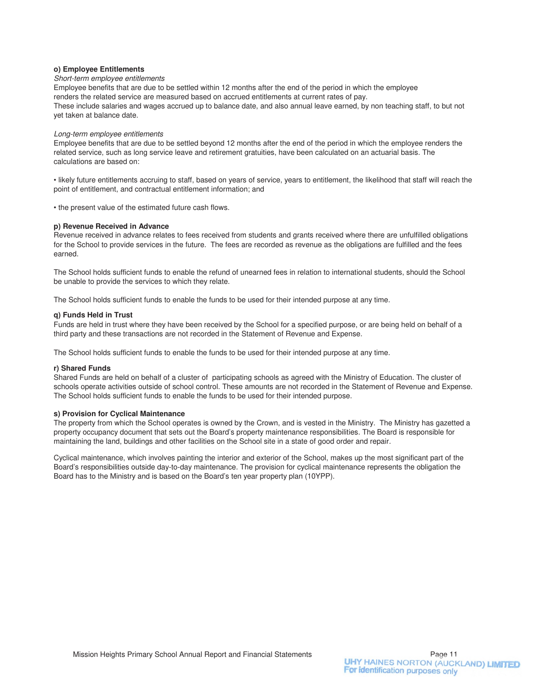#### **o) Employee Entitlements**

#### Short-term employee entitlements

Employee benefits that are due to be settled within 12 months after the end of the period in which the employee renders the related service are measured based on accrued entitlements at current rates of pay. These include salaries and wages accrued up to balance date, and also annual leave earned, by non teaching staff, to but not yet taken at balance date.

#### Long-term employee entitlements

Employee benefits that are due to be settled beyond 12 months after the end of the period in which the employee renders the related service, such as long service leave and retirement gratuities, have been calculated on an actuarial basis. The calculations are based on:

• likely future entitlements accruing to staff, based on years of service, years to entitlement, the likelihood that staff will reach the point of entitlement, and contractual entitlement information; and

• the present value of the estimated future cash flows.

#### **p) Revenue Received in Advance**

Revenue received in advance relates to fees received from students and grants received where there are unfulfilled obligations for the School to provide services in the future. The fees are recorded as revenue as the obligations are fulfilled and the fees earned.

The School holds sufficient funds to enable the refund of unearned fees in relation to international students, should the School be unable to provide the services to which they relate.

The School holds sufficient funds to enable the funds to be used for their intended purpose at any time.

#### **q) Funds Held in Trust**

Funds are held in trust where they have been received by the School for a specified purpose, or are being held on behalf of a third party and these transactions are not recorded in the Statement of Revenue and Expense.

The School holds sufficient funds to enable the funds to be used for their intended purpose at any time.

#### **r) Shared Funds**

Shared Funds are held on behalf of a cluster of participating schools as agreed with the Ministry of Education. The cluster of schools operate activities outside of school control. These amounts are not recorded in the Statement of Revenue and Expense. The School holds sufficient funds to enable the funds to be used for their intended purpose.

#### **s) Provision for Cyclical Maintenance**

The property from which the School operates is owned by the Crown, and is vested in the Ministry. The Ministry has gazetted a property occupancy document that sets out the Board's property maintenance responsibilities. The Board is responsible for maintaining the land, buildings and other facilities on the School site in a state of good order and repair.

Cyclical maintenance, which involves painting the interior and exterior of the School, makes up the most significant part of the Board's responsibilities outside day-to-day maintenance. The provision for cyclical maintenance represents the obligation the Board has to the Ministry and is based on the Board's ten year property plan (10YPP).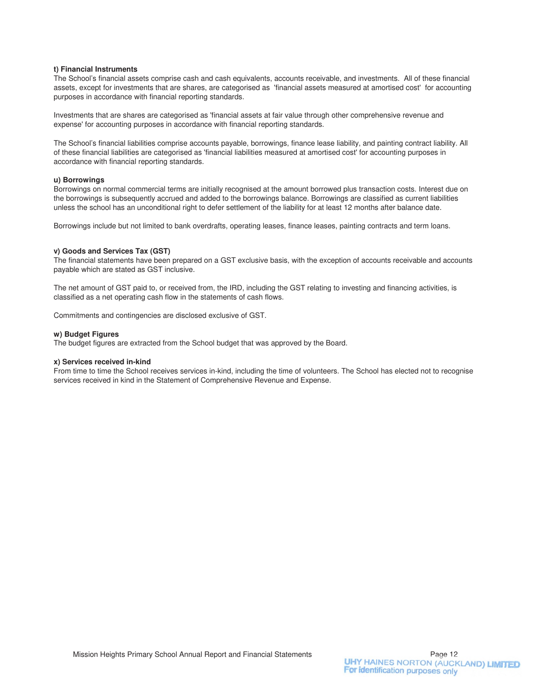#### **t) Financial Instruments**

The School's financial assets comprise cash and cash equivalents, accounts receivable, and investments. All of these financial assets, except for investments that are shares, are categorised as 'financial assets measured at amortised cost' for accounting purposes in accordance with financial reporting standards.

Investments that are shares are categorised as 'financial assets at fair value through other comprehensive revenue and expense' for accounting purposes in accordance with financial reporting standards.

The School's financial liabilities comprise accounts payable, borrowings, finance lease liability, and painting contract liability. All of these financial liabilities are categorised as 'financial liabilities measured at amortised cost' for accounting purposes in accordance with financial reporting standards.

#### **u) Borrowings**

Borrowings on normal commercial terms are initially recognised at the amount borrowed plus transaction costs. Interest due on the borrowings is subsequently accrued and added to the borrowings balance. Borrowings are classified as current liabilities unless the school has an unconditional right to defer settlement of the liability for at least 12 months after balance date.

Borrowings include but not limited to bank overdrafts, operating leases, finance leases, painting contracts and term loans.

#### **v) Goods and Services Tax (GST)**

The financial statements have been prepared on a GST exclusive basis, with the exception of accounts receivable and accounts payable which are stated as GST inclusive.

The net amount of GST paid to, or received from, the IRD, including the GST relating to investing and financing activities, is classified as a net operating cash flow in the statements of cash flows.

Commitments and contingencies are disclosed exclusive of GST.

#### **w) Budget Figures**

The budget figures are extracted from the School budget that was approved by the Board.

#### **x) Services received in-kind**

From time to time the School receives services in-kind, including the time of volunteers. The School has elected not to recognise services received in kind in the Statement of Comprehensive Revenue and Expense.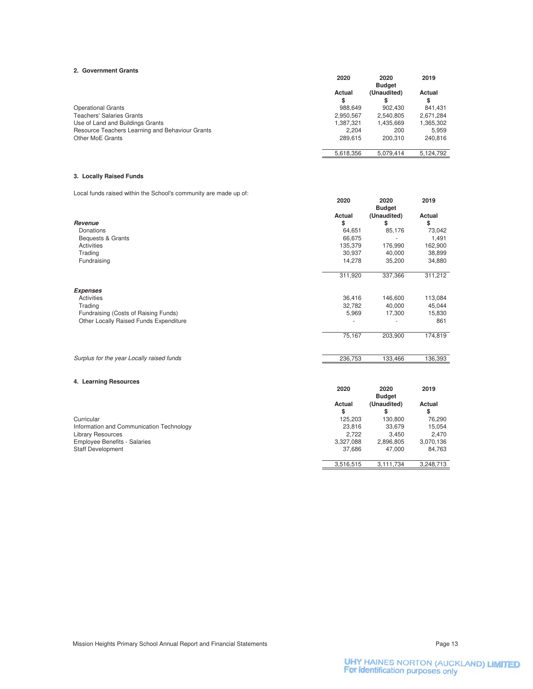#### **2. Government Grants**

| 4. GUVENINGIR GIRIRS                            |           |               |           |
|-------------------------------------------------|-----------|---------------|-----------|
|                                                 | 2020      | 2020          | 2019      |
|                                                 |           | <b>Budget</b> |           |
|                                                 | Actual    | (Unaudited)   | Actual    |
|                                                 | S         | S             | S         |
| <b>Operational Grants</b>                       | 988,649   | 902.430       | 841.431   |
| <b>Teachers' Salaries Grants</b>                | 2,950,567 | 2.540.805     | 2.671.284 |
| Use of Land and Buildings Grants                | 1.387.321 | 1.435.669     | 1,365,302 |
| Resource Teachers Learning and Behaviour Grants | 2.204     | 200           | 5.959     |
| Other MoE Grants                                | 289.615   | 200.310       | 240.816   |
|                                                 | 5.618.356 | 5.079.414     | 5.124.792 |

#### **3. Locally Raised Funds**

Local funds raised within the School's community are made up of:

|                                           | 2020    | 2020<br><b>Budget</b> | 2019    |
|-------------------------------------------|---------|-----------------------|---------|
|                                           | Actual  | (Unaudited)           | Actual  |
| Revenue                                   | \$      | \$                    | \$      |
| Donations                                 | 64,651  | 85,176                | 73,042  |
| Bequests & Grants                         | 66,675  |                       | 1,491   |
| Activities                                | 135,379 | 176,990               | 162,900 |
| Trading                                   | 30,937  | 40,000                | 38,899  |
| Fundraising                               | 14,278  | 35,200                | 34,880  |
|                                           | 311,920 | 337,366               | 311,212 |
| <b>Expenses</b>                           |         |                       |         |
| Activities                                | 36,416  | 146,600               | 113,084 |
| Trading                                   | 32,782  | 40,000                | 45,044  |
| Fundraising (Costs of Raising Funds)      | 5,969   | 17,300                | 15,830  |
| Other Locally Raised Funds Expenditure    |         |                       | 861     |
|                                           | 75,167  | 203,900               | 174,819 |
| Surplus for the year Locally raised funds | 236,753 | 133,466               | 136,393 |
|                                           |         |                       |         |

#### **4. Learning Resources**

|                                          |           | <b>Budget</b> |           |
|------------------------------------------|-----------|---------------|-----------|
|                                          | Actual    | (Unaudited)   | Actual    |
|                                          | \$        | \$            | \$        |
| Curricular                               | 125.203   | 130.800       | 76,290    |
| Information and Communication Technology | 23.816    | 33.679        | 15.054    |
| <b>Library Resources</b>                 | 2.722     | 3.450         | 2.470     |
| <b>Employee Benefits - Salaries</b>      | 3,327,088 | 2.896.805     | 3,070,136 |
| <b>Staff Development</b>                 | 37.686    | 47.000        | 84.763    |
|                                          | 3.516.515 | 3.111.734     | 3.248.713 |

**2020 2020 2019**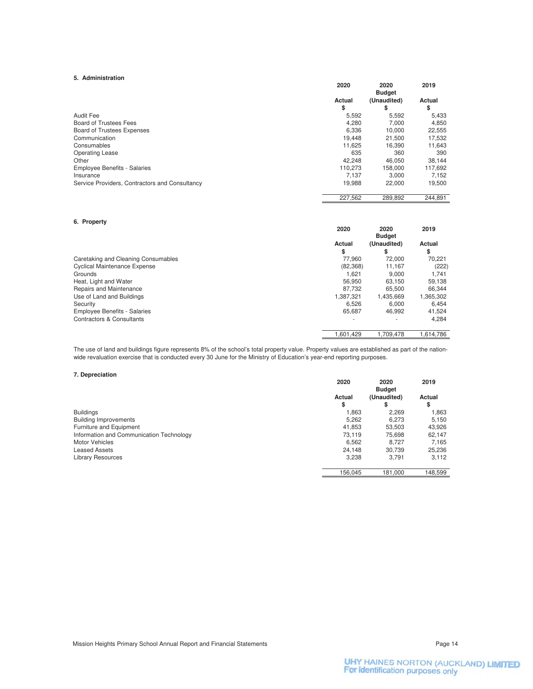#### **5. Administration**

|                                                | 2020    | 2020          | 2019    |
|------------------------------------------------|---------|---------------|---------|
|                                                |         | <b>Budget</b> |         |
|                                                | Actual  | (Unaudited)   | Actual  |
|                                                | \$      | S             | \$      |
| Audit Fee                                      | 5,592   | 5,592         | 5,433   |
| Board of Trustees Fees                         | 4.280   | 7.000         | 4,850   |
| <b>Board of Trustees Expenses</b>              | 6.336   | 10.000        | 22,555  |
| Communication                                  | 19.448  | 21.500        | 17,532  |
| Consumables                                    | 11.625  | 16.390        | 11,643  |
| <b>Operating Lease</b>                         | 635     | 360           | 390     |
| Other                                          | 42.248  | 46.050        | 38,144  |
| <b>Employee Benefits - Salaries</b>            | 110.273 | 158.000       | 117.692 |
| Insurance                                      | 7.137   | 3.000         | 7.152   |
| Service Providers, Contractors and Consultancy | 19.988  | 22,000        | 19,500  |
|                                                | 227.562 | 289.892       | 244.891 |

#### **6. Property**

|                                      | 2020                     | 2020          | 2019      |
|--------------------------------------|--------------------------|---------------|-----------|
|                                      |                          | <b>Budget</b> |           |
|                                      | Actual                   | (Unaudited)   | Actual    |
|                                      | \$                       | S             | \$        |
| Caretaking and Cleaning Consumables  | 77.960                   | 72,000        | 70,221    |
| <b>Cyclical Maintenance Expense</b>  | (82, 368)                | 11.167        | (222)     |
| Grounds                              | 1.621                    | 9.000         | 1.741     |
| Heat, Light and Water                | 56.950                   | 63.150        | 59,138    |
| Repairs and Maintenance              | 87.732                   | 65.500        | 66.344    |
| Use of Land and Buildings            | 1,387,321                | 1,435,669     | 1,365,302 |
| Security                             | 6.526                    | 6.000         | 6.454     |
| <b>Employee Benefits - Salaries</b>  | 65,687                   | 46.992        | 41,524    |
| <b>Contractors &amp; Consultants</b> | $\overline{\phantom{a}}$ | ۰             | 4,284     |
|                                      | 1.601.429                | 1,709,478     | 1.614.786 |

The use of land and buildings figure represents 8% of the school's total property value. Property values are established as part of the nationwide revaluation exercise that is conducted every 30 June for the Ministry of Education's year-end reporting purposes.

#### **7. Depreciation**

|                                          | 2020    | 2020<br><b>Budget</b> | 2019    |
|------------------------------------------|---------|-----------------------|---------|
|                                          | Actual  | (Unaudited)           | Actual  |
|                                          | \$      | \$                    | \$      |
| <b>Buildings</b>                         | .863    | 2.269                 | 1,863   |
| <b>Building Improvements</b>             | 5,262   | 6,273                 | 5,150   |
| Furniture and Equipment                  | 41.853  | 53.503                | 43,926  |
| Information and Communication Technology | 73.119  | 75,698                | 62,147  |
| <b>Motor Vehicles</b>                    | 6,562   | 8.727                 | 7,165   |
| <b>Leased Assets</b>                     | 24,148  | 30,739                | 25,236  |
| <b>Library Resources</b>                 | 3,238   | 3.791                 | 3,112   |
|                                          | 156.045 | 181,000               | 148.599 |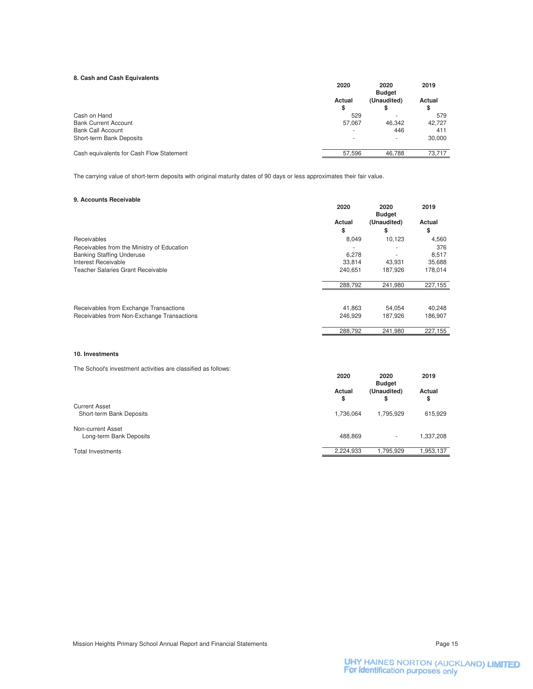#### **8. Cash and Cash Equivalents**

| <b>0. Casil and Casil Equivalents</b>    | 2020   | 2020<br><b>Budget</b>    | 2019   |
|------------------------------------------|--------|--------------------------|--------|
|                                          | Actual | (Unaudited)              | Actual |
|                                          | \$     | \$                       | \$     |
| Cash on Hand                             | 529    |                          | 579    |
| <b>Bank Current Account</b>              | 57.067 | 46.342                   | 42.727 |
| <b>Bank Call Account</b>                 | -      | 446                      | 411    |
| Short-term Bank Deposits                 | $\sim$ | $\overline{\phantom{a}}$ | 30,000 |
| Cash equivalents for Cash Flow Statement | 57,596 | 46,788                   | 73.717 |

The carrying value of short-term deposits with original maturity dates of 90 days or less approximates their fair value.

#### **9. Accounts Receivable**

|                                            | 2020    | 2020<br><b>Budget</b> | 2019    |
|--------------------------------------------|---------|-----------------------|---------|
|                                            | Actual  | (Unaudited)           | Actual  |
|                                            | \$      | \$                    | \$      |
| Receivables                                | 8,049   | 10,123                | 4,560   |
| Receivables from the Ministry of Education |         |                       | 376     |
| <b>Banking Staffing Underuse</b>           | 6,278   |                       | 8,517   |
| Interest Receivable                        | 33,814  | 43.931                | 35,688  |
| Teacher Salaries Grant Receivable          | 240.651 | 187,926               | 178,014 |
|                                            | 288,792 | 241,980               | 227,155 |
| Receivables from Exchange Transactions     | 41,863  | 54,054                | 40,248  |
| Receivables from Non-Exchange Transactions | 246.929 | 187.926               | 186,907 |
|                                            | 288,792 | 241,980               | 227,155 |

#### **10. Investments**

The School's investment activities are classified as follows:

|                                              | 2020         | 2020<br><b>Budget</b> | 2019         |
|----------------------------------------------|--------------|-----------------------|--------------|
|                                              | Actual<br>\$ | (Unaudited)<br>\$     | Actual<br>\$ |
| <b>Current Asset</b>                         |              |                       |              |
| Short-term Bank Deposits                     | 1,736,064    | 1.795.929             | 615,929      |
| Non-current Asset<br>Long-term Bank Deposits | 488.869      |                       | 1,337,208    |
| <b>Total Investments</b>                     | 2,224,933    | 1.795.929             | 1,953,137    |
|                                              |              |                       |              |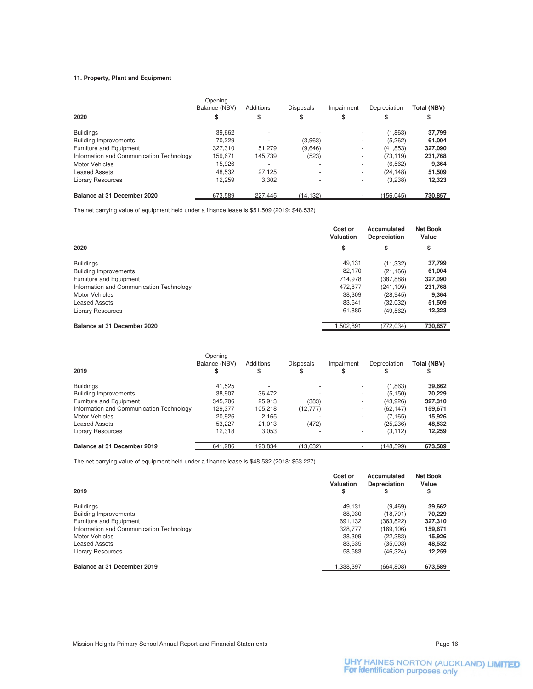#### **11. Property, Plant and Equipment**

|                                          | Opening<br>Balance (NBV) | Additions | <b>Disposals</b> | Impairment | Depreciation | Total (NBV) |
|------------------------------------------|--------------------------|-----------|------------------|------------|--------------|-------------|
| 2020                                     | \$                       | \$        | \$               | \$         | \$           | \$          |
| <b>Buildings</b>                         | 39,662                   |           |                  |            | (1,863)      | 37,799      |
| <b>Building Improvements</b>             | 70.229                   |           | (3,963)          | ٠          | (5, 262)     | 61,004      |
| Furniture and Equipment                  | 327,310                  | 51.279    | (9,646)          | ٠          | (41, 853)    | 327,090     |
| Information and Communication Technology | 159.671                  | 145.739   | (523)            | ۰          | (73, 119)    | 231,768     |
| <b>Motor Vehicles</b>                    | 15.926                   |           |                  |            | (6, 562)     | 9,364       |
| <b>Leased Assets</b>                     | 48.532                   | 27.125    |                  | $\sim$     | (24.148)     | 51,509      |
| <b>Library Resources</b>                 | 12.259                   | 3.302     |                  |            | (3,238)      | 12,323      |
| Balance at 31 December 2020              | 673,589                  | 227.445   | (14, 132)        |            | (156.045)    | 730,857     |

The net carrying value of equipment held under a finance lease is \$51,509 (2019: \$48,532)

|                                          | Cost or<br>Valuation | Accumulated<br>Depreciation | <b>Net Book</b><br>Value |
|------------------------------------------|----------------------|-----------------------------|--------------------------|
| 2020                                     | \$                   | \$                          | \$                       |
| <b>Buildings</b>                         | 49.131               | (11, 332)                   | 37,799                   |
| <b>Building Improvements</b>             | 82.170               | (21, 166)                   | 61,004                   |
| Furniture and Equipment                  | 714.978              | (387, 888)                  | 327,090                  |
| Information and Communication Technology | 472.877              | (241.109)                   | 231,768                  |
| <b>Motor Vehicles</b>                    | 38,309               | (28, 945)                   | 9,364                    |
| <b>Leased Assets</b>                     | 83.541               | (32,032)                    | 51,509                   |
| Library Resources                        | 61,885               | (49, 562)                   | 12,323                   |
| Balance at 31 December 2020              | 1.502.891            | (772.034)                   | 730,857                  |

| 2019                                     | Opening<br>Balance (NBV)<br>\$ | Additions<br>S | <b>Disposals</b><br>S | Impairment<br>\$ | Depreciation<br>S | Total (NBV)<br>\$ |
|------------------------------------------|--------------------------------|----------------|-----------------------|------------------|-------------------|-------------------|
|                                          |                                |                |                       |                  |                   |                   |
| <b>Buildings</b>                         | 41.525                         |                |                       | ٠                | (1,863)           | 39,662            |
| <b>Building Improvements</b>             | 38.907                         | 36.472         |                       | ۰                | (5, 150)          | 70,229            |
| Furniture and Equipment                  | 345.706                        | 25.913         | (383)                 | ٠                | (43,926)          | 327,310           |
| Information and Communication Technology | 129.377                        | 105,218        | (12, 777)             | ٠                | (62, 147)         | 159,671           |
| <b>Motor Vehicles</b>                    | 20,926                         | 2,165          |                       | ۰                | (7, 165)          | 15,926            |
| <b>Leased Assets</b>                     | 53.227                         | 21.013         | (472)                 | ۰                | (25, 236)         | 48,532            |
| <b>Library Resources</b>                 | 12.318                         | 3,053          | ۰                     | ۰                | (3, 112)          | 12,259            |
| Balance at 31 December 2019              | 641.986                        | 193.834        | (13,632)              |                  | (148.599)         | 673,589           |

The net carrying value of equipment held under a finance lease is \$48,532 (2018: \$53,227)

| 2019                                     | Cost or<br>Valuation<br>\$ | Accumulated<br>Depreciation<br>\$ | <b>Net Book</b><br>Value<br>\$ |
|------------------------------------------|----------------------------|-----------------------------------|--------------------------------|
| <b>Buildings</b>                         | 49.131                     | (9, 469)                          | 39,662                         |
| <b>Building Improvements</b>             | 88.930                     | (18.701)                          | 70.229                         |
| Furniture and Equipment                  | 691.132                    | (363, 822)                        | 327,310                        |
| Information and Communication Technology | 328.777                    | (169.106)                         | 159,671                        |
| <b>Motor Vehicles</b>                    | 38,309                     | (22, 383)                         | 15,926                         |
| <b>Leased Assets</b>                     | 83.535                     | (35.003)                          | 48,532                         |
| <b>Library Resources</b>                 | 58.583                     | (46, 324)                         | 12,259                         |
| Balance at 31 December 2019              | ,338,397                   | (664.808)                         | 673,589                        |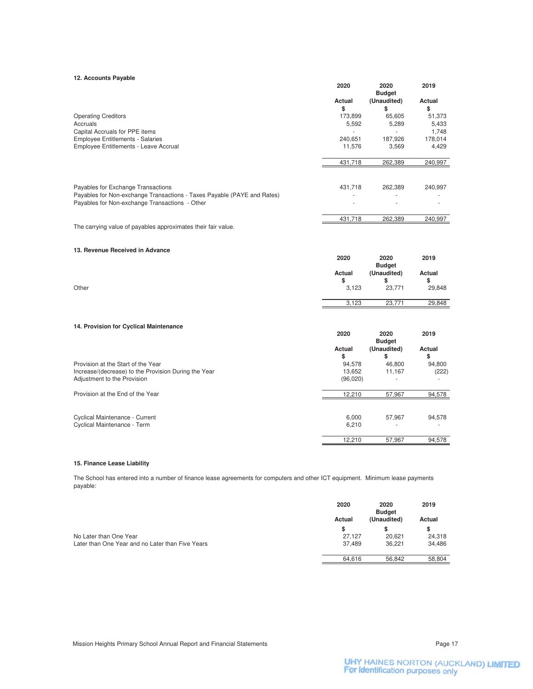#### **12. Accounts Payable**

|                                                                         | 2020     | 2020<br><b>Budget</b>    | 2019    |
|-------------------------------------------------------------------------|----------|--------------------------|---------|
|                                                                         | Actual   | (Unaudited)              | Actual  |
|                                                                         | \$       | \$                       | \$      |
| <b>Operating Creditors</b>                                              | 173,899  | 65,605                   | 51,373  |
| Accruals                                                                | 5,592    | 5,289                    | 5,433   |
| Capital Accruals for PPE items                                          | ä,       | $\overline{\phantom{a}}$ | 1,748   |
| <b>Employee Entitlements - Salaries</b>                                 | 240,651  | 187,926                  | 178,014 |
| Employee Entitlements - Leave Accrual                                   | 11,576   | 3,569                    | 4,429   |
|                                                                         | 431,718  | 262,389                  | 240,997 |
|                                                                         |          |                          |         |
| Payables for Exchange Transactions                                      | 431,718  | 262,389                  | 240,997 |
| Payables for Non-exchange Transactions - Taxes Payable (PAYE and Rates) |          |                          |         |
| Payables for Non-exchange Transactions - Other                          |          |                          |         |
|                                                                         | 431,718  | 262,389                  | 240,997 |
| The carrying value of payables approximates their fair value.           |          |                          |         |
| 13. Revenue Received in Advance                                         |          |                          |         |
|                                                                         | 2020     | 2020<br><b>Budget</b>    | 2019    |
|                                                                         | Actual   | (Unaudited)              | Actual  |
|                                                                         | \$       | \$                       | \$      |
| Other                                                                   | 3,123    | 23,771                   | 29,848  |
|                                                                         | 3,123    | 23,771                   | 29,848  |
|                                                                         |          |                          |         |
| 14. Provision for Cyclical Maintenance                                  | 2020     | 2020                     | 2019    |
|                                                                         |          | <b>Budget</b>            |         |
|                                                                         | Actual   | (Unaudited)              | Actual  |
|                                                                         | \$       | \$                       | \$      |
| Provision at the Start of the Year                                      | 94,578   | 46,800                   | 94,800  |
| Increase/(decrease) to the Provision During the Year                    | 13,652   | 11,167                   | (222)   |
| Adjustment to the Provision                                             | (96,020) |                          | ä,      |
| Provision at the End of the Year                                        | 12,210   | 57,967                   | 94,578  |
|                                                                         |          |                          |         |
| Cyclical Maintenance - Current                                          | 6,000    | 57,967                   | 94,578  |
| Cyclical Maintenance - Term                                             | 6,210    |                          |         |

#### **15. Finance Lease Liability**

The School has entered into a number of finance lease agreements for computers and other ICT equipment. Minimum lease payments payable:

|                                                  | 2020   | 2020<br><b>Budget</b> | 2019   |
|--------------------------------------------------|--------|-----------------------|--------|
|                                                  | Actual | (Unaudited)           | Actual |
|                                                  | S      |                       | S      |
| No Later than One Year                           | 27.127 | 20.621                | 24,318 |
| Later than One Year and no Later than Five Years | 37.489 | 36.221                | 34.486 |
|                                                  | 64.616 | 56.842                | 58.804 |

57,967 12,210 94,578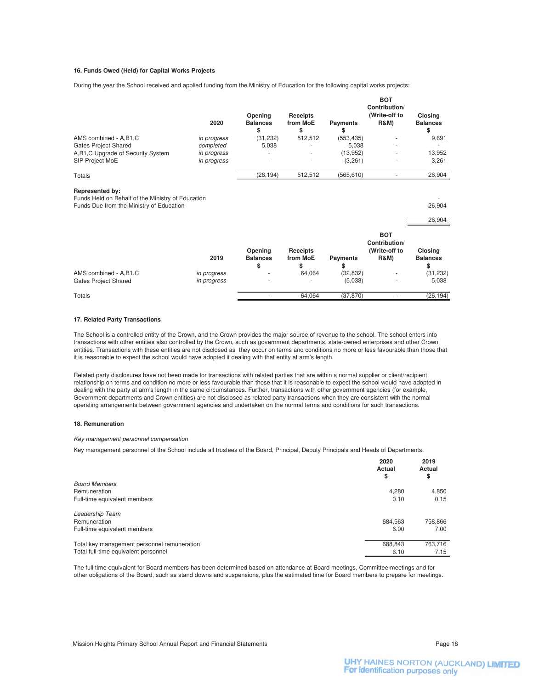#### **16. Funds Owed (Held) for Capital Works Projects**

During the year the School received and applied funding from the Ministry of Education for the following capital works projects:

|                                                                                                                  | 2020                     | Opening<br><b>Balances</b><br>\$ | Receipts<br>from MoE<br>\$ | <b>Payments</b><br>\$ | <b>BOT</b><br>Contribution/<br>(Write-off to<br><b>R&amp;M)</b> | Closing<br><b>Balances</b><br>\$ |
|------------------------------------------------------------------------------------------------------------------|--------------------------|----------------------------------|----------------------------|-----------------------|-----------------------------------------------------------------|----------------------------------|
| AMS combined - A,B1,C<br><b>Gates Project Shared</b>                                                             | in progress<br>completed | (31, 232)<br>5,038               | 512,512                    | (553, 435)<br>5,038   |                                                                 | 9,691                            |
| A,B1,C Upgrade of Security System                                                                                | in progress              |                                  |                            | (13,952)              |                                                                 | 13,952                           |
| SIP Project MoE                                                                                                  | in progress              |                                  |                            | (3,261)               |                                                                 | 3,261                            |
| <b>Totals</b>                                                                                                    |                          | (26, 194)                        | 512,512                    | (565, 610)            | $\overline{\phantom{a}}$                                        | 26,904                           |
| Represented by:<br>Funds Held on Behalf of the Ministry of Education<br>Funds Due from the Ministry of Education |                          |                                  |                            |                       |                                                                 | 26,904<br>26,904                 |
|                                                                                                                  | 2019                     | Opening<br><b>Balances</b><br>\$ | Receipts<br>from MoE<br>\$ | <b>Payments</b><br>\$ | <b>BOT</b><br>Contribution/<br>(Write-off to<br><b>R&amp;M)</b> | Closing<br><b>Balances</b><br>\$ |
| AMS combined - A,B1,C                                                                                            | in progress              |                                  | 64,064                     | (32, 832)             |                                                                 | (31, 232)                        |
| <b>Gates Project Shared</b>                                                                                      | in progress              |                                  |                            | (5,038)               |                                                                 | 5,038                            |
| Totals                                                                                                           |                          |                                  | 64,064                     | (37, 870)             | $\overline{\phantom{a}}$                                        | (26, 194)                        |

#### **17. Related Party Transactions**

The School is a controlled entity of the Crown, and the Crown provides the major source of revenue to the school. The school enters into transactions with other entities also controlled by the Crown, such as government departments, state-owned enterprises and other Crown entities. Transactions with these entities are not disclosed as they occur on terms and conditions no more or less favourable than those that it is reasonable to expect the school would have adopted if dealing with that entity at arm's length.

Related party disclosures have not been made for transactions with related parties that are within a normal supplier or client/recipient relationship on terms and condition no more or less favourable than those that it is reasonable to expect the school would have adopted in dealing with the party at arm's length in the same circumstances. Further, transactions with other government agencies (for example, Government departments and Crown entities) are not disclosed as related party transactions when they are consistent with the normal operating arrangements between government agencies and undertaken on the normal terms and conditions for such transactions.

#### **18. Remuneration**

Key management personnel compensation

Key management personnel of the School include all trustees of the Board, Principal, Deputy Principals and Heads of Departments.

|                                             | 2020<br>Actual<br>\$ | 2019<br>Actual<br>\$ |
|---------------------------------------------|----------------------|----------------------|
| <b>Board Members</b>                        |                      |                      |
| Remuneration                                | 4,280                | 4,850                |
| Full-time equivalent members                | 0.10                 | 0.15                 |
| Leadership Team                             |                      |                      |
| Remuneration                                | 684,563              | 758,866              |
| Full-time equivalent members                | 6.00                 | 7.00                 |
| Total key management personnel remuneration | 688,843              | 763,716              |
| Total full-time equivalent personnel        | 6.10                 | 7.15                 |

The full time equivalent for Board members has been determined based on attendance at Board meetings, Committee meetings and for other obligations of the Board, such as stand downs and suspensions, plus the estimated time for Board members to prepare for meetings.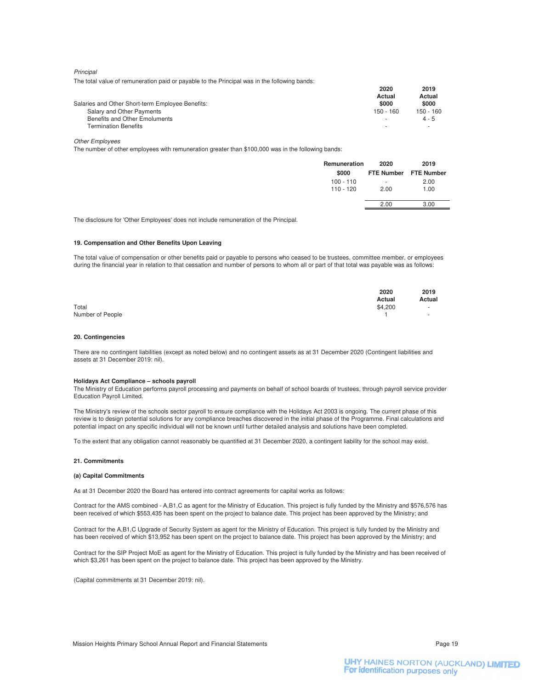**Principal** 

The total value of remuneration paid or payable to the Principal was in the following bands:

|                                                  | 2020                     | 2019<br>Actual |
|--------------------------------------------------|--------------------------|----------------|
|                                                  | Actual                   |                |
| Salaries and Other Short-term Employee Benefits: | \$000                    | \$000          |
| Salary and Other Payments                        | 150 - 160                | 150 - 160      |
| Benefits and Other Emoluments                    | $\overline{\phantom{a}}$ | $4 - 5$        |
| <b>Termination Benefits</b>                      | $\sim$                   |                |

#### Other Employees

The number of other employees with remuneration greater than \$100,000 was in the following bands:

| Remuneration<br>\$000    | 2020      | 2019<br>FTE Number FTE Number |
|--------------------------|-----------|-------------------------------|
| $100 - 110$<br>110 - 120 | ٠<br>2.00 | 2.00<br>1.00                  |
|                          | 2.00      | 3.00                          |

The disclosure for 'Other Employees' does not include remuneration of the Principal.

#### **19. Compensation and Other Benefits Upon Leaving**

The total value of compensation or other benefits paid or payable to persons who ceased to be trustees, committee member, or employees during the financial year in relation to that cessation and number of persons to whom all or part of that total was payable was as follows:

|                  | 2020<br>Actual | 2019<br>Actual          |
|------------------|----------------|-------------------------|
| Total            | \$4,200        | $\sim 100$ km s $^{-1}$ |
| Number of People |                | $\sim$ $\sim$ $\sim$    |

#### **20. Contingencies**

There are no contingent liabilities (except as noted below) and no contingent assets as at 31 December 2020 (Contingent liabilities and assets at 31 December 2019: nil).

#### **Holidays Act Compliance – schools payroll**

The Ministry of Education performs payroll processing and payments on behalf of school boards of trustees, through payroll service provider Education Payroll Limited.

The Ministry's review of the schools sector payroll to ensure compliance with the Holidays Act 2003 is ongoing. The current phase of this review is to design potential solutions for any compliance breaches discovered in the initial phase of the Programme. Final calculations and potential impact on any specific individual will not be known until further detailed analysis and solutions have been completed.

To the extent that any obligation cannot reasonably be quantified at 31 December 2020, a contingent liability for the school may exist.

#### **21. Commitments**

#### **(a) Capital Commitments**

As at 31 December 2020 the Board has entered into contract agreements for capital works as follows:

Contract for the AMS combined - A,B1,C as agent for the Ministry of Education. This project is fully funded by the Ministry and \$576,576 has been received of which \$553,435 has been spent on the project to balance date. This project has been approved by the Ministry; and

Contract for the A,B1,C Upgrade of Security System as agent for the Ministry of Education. This project is fully funded by the Ministry and has been received of which \$13,952 has been spent on the project to balance date. This project has been approved by the Ministry; and

Contract for the SIP Project MoE as agent for the Ministry of Education. This project is fully funded by the Ministry and has been received of which \$3,261 has been spent on the project to balance date. This project has been approved by the Ministry.

(Capital commitments at 31 December 2019: nil).